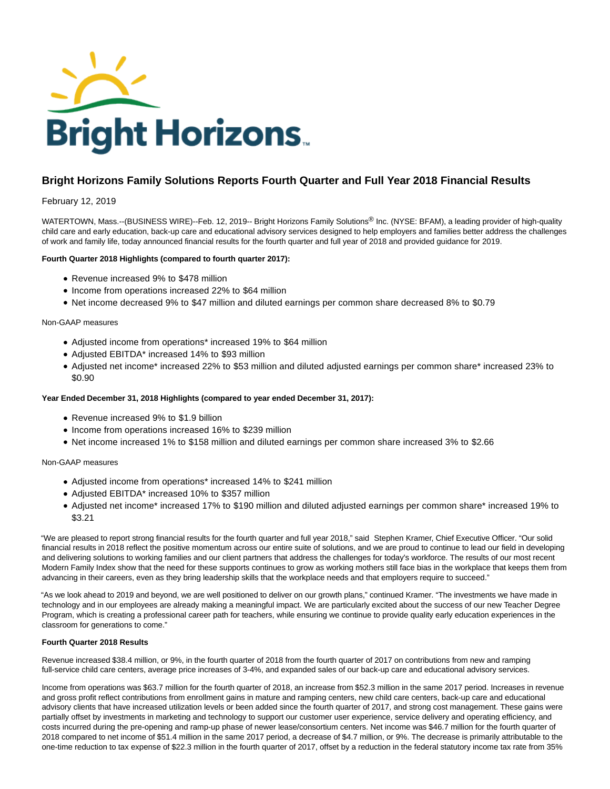

# **Bright Horizons Family Solutions Reports Fourth Quarter and Full Year 2018 Financial Results**

# February 12, 2019

WATERTOWN, Mass.--(BUSINESS WIRE)--Feb. 12, 2019-- Bright Horizons Family Solutions® Inc. (NYSE: BFAM), a leading provider of high-quality child care and early education, back-up care and educational advisory services designed to help employers and families better address the challenges of work and family life, today announced financial results for the fourth quarter and full year of 2018 and provided guidance for 2019.

# **Fourth Quarter 2018 Highlights (compared to fourth quarter 2017):**

- Revenue increased 9% to \$478 million
- Income from operations increased 22% to \$64 million
- Net income decreased 9% to \$47 million and diluted earnings per common share decreased 8% to \$0.79

# Non-GAAP measures

- Adjusted income from operations\* increased 19% to \$64 million
- Adjusted EBITDA\* increased 14% to \$93 million
- Adjusted net income\* increased 22% to \$53 million and diluted adjusted earnings per common share\* increased 23% to \$0.90

## **Year Ended December 31, 2018 Highlights (compared to year ended December 31, 2017):**

- Revenue increased 9% to \$1.9 billion
- Income from operations increased 16% to \$239 million
- Net income increased 1% to \$158 million and diluted earnings per common share increased 3% to \$2.66

# Non-GAAP measures

- Adjusted income from operations\* increased 14% to \$241 million
- Adjusted EBITDA\* increased 10% to \$357 million
- Adjusted net income\* increased 17% to \$190 million and diluted adjusted earnings per common share\* increased 19% to \$3.21

"We are pleased to report strong financial results for the fourth quarter and full year 2018," said Stephen Kramer, Chief Executive Officer. "Our solid financial results in 2018 reflect the positive momentum across our entire suite of solutions, and we are proud to continue to lead our field in developing and delivering solutions to working families and our client partners that address the challenges for today's workforce. The results of our most recent Modern Family Index show that the need for these supports continues to grow as working mothers still face bias in the workplace that keeps them from advancing in their careers, even as they bring leadership skills that the workplace needs and that employers require to succeed."

"As we look ahead to 2019 and beyond, we are well positioned to deliver on our growth plans," continued Kramer. "The investments we have made in technology and in our employees are already making a meaningful impact. We are particularly excited about the success of our new Teacher Degree Program, which is creating a professional career path for teachers, while ensuring we continue to provide quality early education experiences in the classroom for generations to come."

## **Fourth Quarter 2018 Results**

Revenue increased \$38.4 million, or 9%, in the fourth quarter of 2018 from the fourth quarter of 2017 on contributions from new and ramping full-service child care centers, average price increases of 3-4%, and expanded sales of our back-up care and educational advisory services.

Income from operations was \$63.7 million for the fourth quarter of 2018, an increase from \$52.3 million in the same 2017 period. Increases in revenue and gross profit reflect contributions from enrollment gains in mature and ramping centers, new child care centers, back-up care and educational advisory clients that have increased utilization levels or been added since the fourth quarter of 2017, and strong cost management. These gains were partially offset by investments in marketing and technology to support our customer user experience, service delivery and operating efficiency, and costs incurred during the pre-opening and ramp-up phase of newer lease/consortium centers. Net income was \$46.7 million for the fourth quarter of 2018 compared to net income of \$51.4 million in the same 2017 period, a decrease of \$4.7 million, or 9%. The decrease is primarily attributable to the one-time reduction to tax expense of \$22.3 million in the fourth quarter of 2017, offset by a reduction in the federal statutory income tax rate from 35%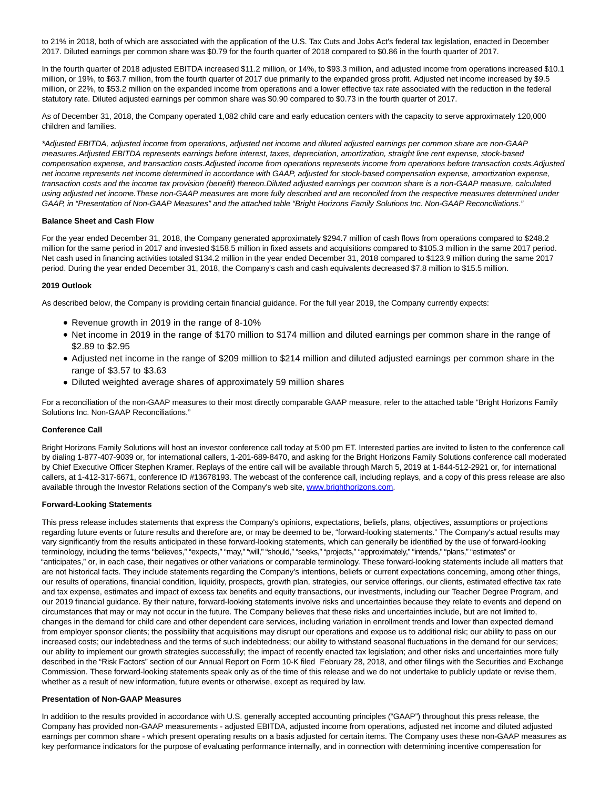to 21% in 2018, both of which are associated with the application of the U.S. Tax Cuts and Jobs Act's federal tax legislation, enacted in December 2017. Diluted earnings per common share was \$0.79 for the fourth quarter of 2018 compared to \$0.86 in the fourth quarter of 2017.

In the fourth quarter of 2018 adjusted EBITDA increased \$11.2 million, or 14%, to \$93.3 million, and adjusted income from operations increased \$10.1 million, or 19%, to \$63.7 million, from the fourth quarter of 2017 due primarily to the expanded gross profit. Adjusted net income increased by \$9.5 million, or 22%, to \$53.2 million on the expanded income from operations and a lower effective tax rate associated with the reduction in the federal statutory rate. Diluted adjusted earnings per common share was \$0.90 compared to \$0.73 in the fourth quarter of 2017.

As of December 31, 2018, the Company operated 1,082 child care and early education centers with the capacity to serve approximately 120,000 children and families.

\*Adjusted EBITDA, adjusted income from operations, adjusted net income and diluted adjusted earnings per common share are non-GAAP measures.Adjusted EBITDA represents earnings before interest, taxes, depreciation, amortization, straight line rent expense, stock-based compensation expense, and transaction costs.Adjusted income from operations represents income from operations before transaction costs.Adjusted net income represents net income determined in accordance with GAAP, adjusted for stock-based compensation expense, amortization expense, transaction costs and the income tax provision (benefit) thereon.Diluted adjusted earnings per common share is a non-GAAP measure, calculated using adjusted net income.These non-GAAP measures are more fully described and are reconciled from the respective measures determined under GAAP, in "Presentation of Non-GAAP Measures" and the attached table "Bright Horizons Family Solutions Inc. Non-GAAP Reconciliations."

#### **Balance Sheet and Cash Flow**

For the year ended December 31, 2018, the Company generated approximately \$294.7 million of cash flows from operations compared to \$248.2 million for the same period in 2017 and invested \$158.5 million in fixed assets and acquisitions compared to \$105.3 million in the same 2017 period. Net cash used in financing activities totaled \$134.2 million in the year ended December 31, 2018 compared to \$123.9 million during the same 2017 period. During the year ended December 31, 2018, the Company's cash and cash equivalents decreased \$7.8 million to \$15.5 million.

# **2019 Outlook**

As described below, the Company is providing certain financial guidance. For the full year 2019, the Company currently expects:

- Revenue growth in 2019 in the range of 8-10%
- Net income in 2019 in the range of \$170 million to \$174 million and diluted earnings per common share in the range of \$2.89 to \$2.95
- Adjusted net income in the range of \$209 million to \$214 million and diluted adjusted earnings per common share in the range of \$3.57 to \$3.63
- Diluted weighted average shares of approximately 59 million shares

For a reconciliation of the non-GAAP measures to their most directly comparable GAAP measure, refer to the attached table "Bright Horizons Family Solutions Inc. Non-GAAP Reconciliations."

## **Conference Call**

Bright Horizons Family Solutions will host an investor conference call today at 5:00 pm ET. Interested parties are invited to listen to the conference call by dialing 1-877-407-9039 or, for international callers, 1-201-689-8470, and asking for the Bright Horizons Family Solutions conference call moderated by Chief Executive Officer Stephen Kramer. Replays of the entire call will be available through March 5, 2019 at 1-844-512-2921 or, for international callers, at 1-412-317-6671, conference ID #13678193. The webcast of the conference call, including replays, and a copy of this press release are also available through the Investor Relations section of the Company's web site, [www.brighthorizons.com.](https://cts.businesswire.com/ct/CT?id=smartlink&url=http%3A%2F%2Fwww.brighthorizons.com&esheet=51939681&newsitemid=20190212005939&lan=en-US&anchor=www.brighthorizons.com&index=1&md5=9b8972740a196b3a22d2245b8fcef0ab)

#### **Forward-Looking Statements**

This press release includes statements that express the Company's opinions, expectations, beliefs, plans, objectives, assumptions or projections regarding future events or future results and therefore are, or may be deemed to be, "forward-looking statements." The Company's actual results may vary significantly from the results anticipated in these forward-looking statements, which can generally be identified by the use of forward-looking terminology, including the terms "believes," "expects," "may," "will," "should," "seeks," "projects," "approximately," "intends," "plans," "estimates" or "anticipates," or, in each case, their negatives or other variations or comparable terminology. These forward-looking statements include all matters that are not historical facts. They include statements regarding the Company's intentions, beliefs or current expectations concerning, among other things, our results of operations, financial condition, liquidity, prospects, growth plan, strategies, our service offerings, our clients, estimated effective tax rate and tax expense, estimates and impact of excess tax benefits and equity transactions, our investments, including our Teacher Degree Program, and our 2019 financial guidance. By their nature, forward-looking statements involve risks and uncertainties because they relate to events and depend on circumstances that may or may not occur in the future. The Company believes that these risks and uncertainties include, but are not limited to, changes in the demand for child care and other dependent care services, including variation in enrollment trends and lower than expected demand from employer sponsor clients; the possibility that acquisitions may disrupt our operations and expose us to additional risk; our ability to pass on our increased costs; our indebtedness and the terms of such indebtedness; our ability to withstand seasonal fluctuations in the demand for our services; our ability to implement our growth strategies successfully; the impact of recently enacted tax legislation; and other risks and uncertainties more fully described in the "Risk Factors" section of our Annual Report on Form 10-K filed February 28, 2018, and other filings with the Securities and Exchange Commission. These forward-looking statements speak only as of the time of this release and we do not undertake to publicly update or revise them, whether as a result of new information, future events or otherwise, except as required by law.

#### **Presentation of Non-GAAP Measures**

In addition to the results provided in accordance with U.S. generally accepted accounting principles ("GAAP") throughout this press release, the Company has provided non-GAAP measurements - adjusted EBITDA, adjusted income from operations, adjusted net income and diluted adjusted earnings per common share - which present operating results on a basis adjusted for certain items. The Company uses these non-GAAP measures as key performance indicators for the purpose of evaluating performance internally, and in connection with determining incentive compensation for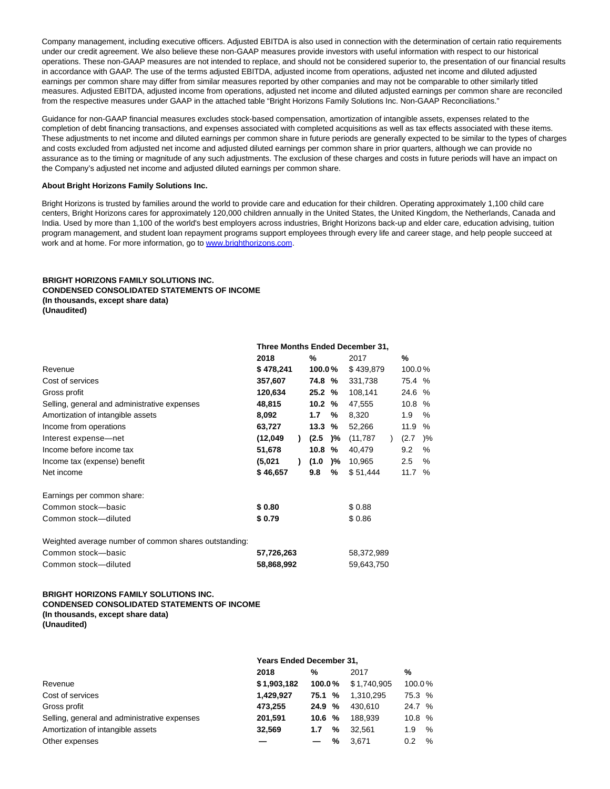Company management, including executive officers. Adjusted EBITDA is also used in connection with the determination of certain ratio requirements under our credit agreement. We also believe these non-GAAP measures provide investors with useful information with respect to our historical operations. These non-GAAP measures are not intended to replace, and should not be considered superior to, the presentation of our financial results in accordance with GAAP. The use of the terms adjusted EBITDA, adjusted income from operations, adjusted net income and diluted adjusted earnings per common share may differ from similar measures reported by other companies and may not be comparable to other similarly titled measures. Adjusted EBITDA, adjusted income from operations, adjusted net income and diluted adjusted earnings per common share are reconciled from the respective measures under GAAP in the attached table "Bright Horizons Family Solutions Inc. Non-GAAP Reconciliations."

Guidance for non-GAAP financial measures excludes stock-based compensation, amortization of intangible assets, expenses related to the completion of debt financing transactions, and expenses associated with completed acquisitions as well as tax effects associated with these items. These adjustments to net income and diluted earnings per common share in future periods are generally expected to be similar to the types of charges and costs excluded from adjusted net income and adjusted diluted earnings per common share in prior quarters, although we can provide no assurance as to the timing or magnitude of any such adjustments. The exclusion of these charges and costs in future periods will have an impact on the Company's adjusted net income and adjusted diluted earnings per common share.

#### **About Bright Horizons Family Solutions Inc.**

Bright Horizons is trusted by families around the world to provide care and education for their children. Operating approximately 1,100 child care centers, Bright Horizons cares for approximately 120,000 children annually in the United States, the United Kingdom, the Netherlands, Canada and India. Used by more than 1,100 of the world's best employers across industries, Bright Horizons back-up and elder care, education advising, tuition program management, and student loan repayment programs support employees through every life and career stage, and help people succeed at work and at home. For more information, go to [www.brighthorizons.com.](http://www.brighthorizons.com/)

#### **BRIGHT HORIZONS FAMILY SOLUTIONS INC. CONDENSED CONSOLIDATED STATEMENTS OF INCOME (In thousands, except share data) (Unaudited)**

|                                                       | Three Months Ended December 31, |   |        |               |            |           |        |               |
|-------------------------------------------------------|---------------------------------|---|--------|---------------|------------|-----------|--------|---------------|
|                                                       | 2018                            |   | %      |               | 2017       |           | %      |               |
| Revenue                                               | \$478,241                       |   | 100.0% |               | \$439,879  |           | 100.0% |               |
| Cost of services                                      | 357,607                         |   | 74.8 % |               | 331,738    |           | 75.4 % |               |
| Gross profit                                          | 120,634                         |   | 25.2%  |               | 108,141    |           | 24.6 % |               |
| Selling, general and administrative expenses          | 48,815                          |   | 10.2 % |               | 47,555     |           | 10.8 % |               |
| Amortization of intangible assets                     | 8,092                           |   | 1.7    | %             | 8,320      |           | 1.9    | %             |
| Income from operations                                | 63,727                          |   | 13.3   | %             | 52,266     |           | 11.9   | %             |
| Interest expense-net                                  | (12,049)                        | 1 | (2.5)  | $\frac{9}{6}$ | (11,787)   | $\lambda$ | (2.7)  | $\frac{9}{6}$ |
| Income before income tax                              | 51,678                          |   | 10.8   | %             | 40,479     |           | 9.2    | %             |
| Income tax (expense) benefit                          | (5,021)                         |   | (1.0)  | )%            | 10,965     |           | 2.5    | %             |
| Net income                                            | \$46,657                        |   | 9.8    | ℅             | \$51,444   |           | 11.7   | %             |
| Earnings per common share:                            |                                 |   |        |               |            |           |        |               |
| Common stock-basic                                    | \$0.80                          |   |        |               | \$0.88     |           |        |               |
| Common stock-diluted                                  | \$0.79                          |   |        |               | \$0.86     |           |        |               |
| Weighted average number of common shares outstanding: |                                 |   |        |               |            |           |        |               |
| Common stock-basic                                    | 57,726,263                      |   |        |               | 58,372,989 |           |        |               |
| Common stock-diluted                                  | 58,868,992                      |   |        |               | 59,643,750 |           |        |               |

#### **BRIGHT HORIZONS FAMILY SOLUTIONS INC. CONDENSED CONSOLIDATED STATEMENTS OF INCOME (In thousands, except share data) (Unaudited)**

# **Years Ended December 31, 2018 %** 2017 **%** Revenue **\$ 1,903,182 100.0 %** \$ 1,740,905 100.0 % Cost of services **1,429,927 75.1 %** 1,310,295 75.3 % Gross profit **473,255 24.9 %** 430,610 24.7 % Selling, general and administrative expenses **201,591 10.6 %** 188,939 10.8 % Amortization of intangible assets **32,569 1.7 %** 32,561 1.9 % Other expenses **— — %** 3,671 0.2 %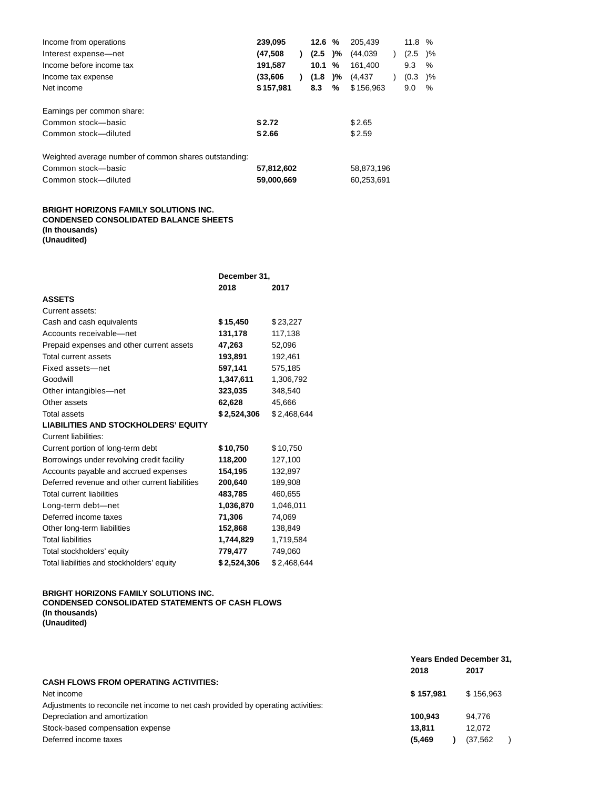| Income from operations                                                                              | 239,095                  | 12.6% |    | 205.439                  | 11.8  | %             |
|-----------------------------------------------------------------------------------------------------|--------------------------|-------|----|--------------------------|-------|---------------|
| Interest expense-net                                                                                | (47,508                  | (2.5) | )% | (44, 039)                | (2.5) | $\frac{9}{6}$ |
| Income before income tax                                                                            | 191,587                  | 10.1  | %  | 161.400                  | 9.3   | $\%$          |
| Income tax expense                                                                                  | (33,606)                 | (1.8) | )% | (4, 437)                 | (0.3) | $\frac{9}{6}$ |
| Net income                                                                                          | \$157,981                | 8.3   | ℅  | \$156,963                | 9.0   | %             |
| Earnings per common share:<br>Common stock-basic<br>Common stock-diluted                            | \$2.72<br>\$2.66         |       |    | \$2.65<br>\$2.59         |       |               |
| Weighted average number of common shares outstanding:<br>Common stock-basic<br>Common stock-diluted | 57,812,602<br>59,000,669 |       |    | 58,873,196<br>60,253,691 |       |               |

## **BRIGHT HORIZONS FAMILY SOLUTIONS INC. CONDENSED CONSOLIDATED BALANCE SHEETS (In thousands) (Unaudited)**

|                                                | December 31, |             |  |  |
|------------------------------------------------|--------------|-------------|--|--|
|                                                | 2018         | 2017        |  |  |
| <b>ASSETS</b>                                  |              |             |  |  |
| Current assets:                                |              |             |  |  |
| Cash and cash equivalents                      | \$15,450     | \$23,227    |  |  |
| Accounts receivable-net                        | 131,178      | 117,138     |  |  |
| Prepaid expenses and other current assets      | 47,263       | 52,096      |  |  |
| <b>Total current assets</b>                    | 193,891      | 192,461     |  |  |
| Fixed assets-net                               | 597,141      | 575,185     |  |  |
| Goodwill                                       | 1,347,611    | 1,306,792   |  |  |
| Other intangibles-net                          | 323,035      | 348,540     |  |  |
| Other assets                                   | 62,628       | 45,666      |  |  |
| Total assets                                   | \$2,524,306  | \$2,468,644 |  |  |
| <b>LIABILITIES AND STOCKHOLDERS' EQUITY</b>    |              |             |  |  |
| <b>Current liabilities:</b>                    |              |             |  |  |
| Current portion of long-term debt              | \$10,750     | \$10,750    |  |  |
| Borrowings under revolving credit facility     | 118,200      | 127,100     |  |  |
| Accounts payable and accrued expenses          | 154,195      | 132,897     |  |  |
| Deferred revenue and other current liabilities | 200,640      | 189,908     |  |  |
| Total current liabilities                      | 483,785      | 460,655     |  |  |
| Long-term debt-net                             | 1,036,870    | 1,046,011   |  |  |
| Deferred income taxes                          | 71,306       | 74,069      |  |  |
| Other long-term liabilities                    | 152,868      | 138,849     |  |  |
| <b>Total liabilities</b>                       | 1,744,829    | 1,719,584   |  |  |
| Total stockholders' equity                     | 779,477      | 749,060     |  |  |
| Total liabilities and stockholders' equity     | \$2,524,306  | \$2,468,644 |  |  |

## **BRIGHT HORIZONS FAMILY SOLUTIONS INC. CONDENSED CONSOLIDATED STATEMENTS OF CASH FLOWS (In thousands) (Unaudited)**

|                                                                                   | <b>Years Ended December 31,</b> |  |           |  |
|-----------------------------------------------------------------------------------|---------------------------------|--|-----------|--|
|                                                                                   | 2018                            |  | 2017      |  |
| <b>CASH FLOWS FROM OPERATING ACTIVITIES:</b>                                      |                                 |  |           |  |
| Net income                                                                        | \$157.981                       |  | \$156.963 |  |
| Adjustments to reconcile net income to net cash provided by operating activities: |                                 |  |           |  |
| Depreciation and amortization                                                     | 100.943                         |  | 94.776    |  |
| Stock-based compensation expense                                                  | 13.811                          |  | 12.072    |  |
| Deferred income taxes                                                             | (5, 469)                        |  | (37.562)  |  |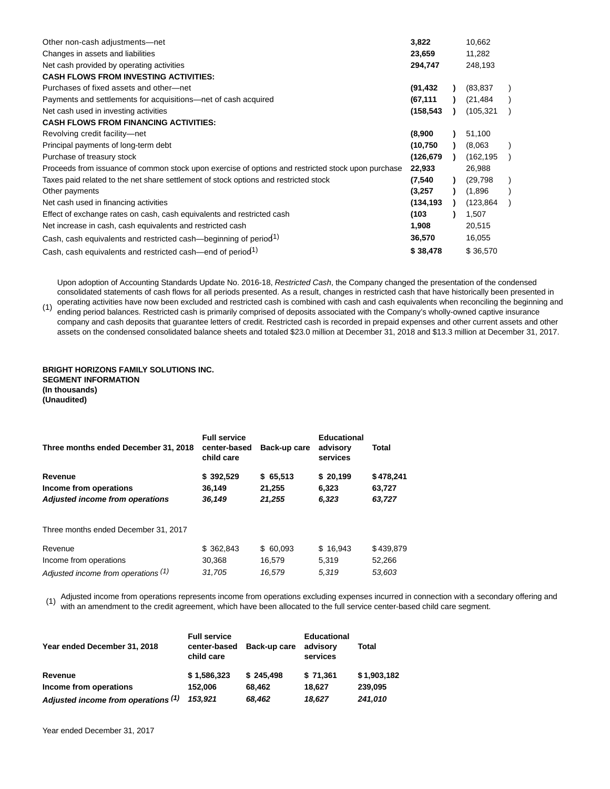| Other non-cash adjustments-net                                                                     | 3,822      | 10,662     |  |
|----------------------------------------------------------------------------------------------------|------------|------------|--|
| Changes in assets and liabilities                                                                  | 23,659     | 11,282     |  |
| Net cash provided by operating activities                                                          | 294,747    | 248,193    |  |
| <b>CASH FLOWS FROM INVESTING ACTIVITIES:</b>                                                       |            |            |  |
| Purchases of fixed assets and other-net                                                            | (91, 432)  | (83, 837)  |  |
| Payments and settlements for acquisitions—net of cash acquired                                     | (67, 111)  | (21, 484)  |  |
| Net cash used in investing activities                                                              | (158, 543) | (105, 321) |  |
| <b>CASH FLOWS FROM FINANCING ACTIVITIES:</b>                                                       |            |            |  |
| Revolving credit facility-net                                                                      | (8,900)    | 51,100     |  |
| Principal payments of long-term debt                                                               | (10, 750)  | (8,063)    |  |
| Purchase of treasury stock                                                                         | (126, 679) | (162, 195) |  |
| Proceeds from issuance of common stock upon exercise of options and restricted stock upon purchase | 22,933     | 26,988     |  |
| Taxes paid related to the net share settlement of stock options and restricted stock               | (7, 540)   | (29, 798)  |  |
| Other payments                                                                                     | (3,257)    | (1,896)    |  |
| Net cash used in financing activities                                                              | (134, 193) | (123,864   |  |
| Effect of exchange rates on cash, cash equivalents and restricted cash                             | (103       | 1,507      |  |
| Net increase in cash, cash equivalents and restricted cash                                         | 1,908      | 20,515     |  |
| Cash, cash equivalents and restricted cash—beginning of period <sup>1)</sup>                       | 36,570     | 16,055     |  |
| Cash, cash equivalents and restricted cash—end of period <sup>1)</sup>                             | \$38,478   | \$36,570   |  |

operating activities have now been excluded and restricted cash is combined with cash and cash equivalents when reconciling the beginning and  $(1)$  and is a simple of density and cash is a simple of density and simple whe Upon adoption of Accounting Standards Update No. 2016-18, Restricted Cash, the Company changed the presentation of the condensed consolidated statements of cash flows for all periods presented. As a result, changes in restricted cash that have historically been presented in

ending period balances. Restricted cash is primarily comprised of deposits associated with the Company's wholly-owned captive insurance company and cash deposits that guarantee letters of credit. Restricted cash is recorded in prepaid expenses and other current assets and other assets on the condensed consolidated balance sheets and totaled \$23.0 million at December 31, 2018 and \$13.3 million at December 31, 2017.

#### **BRIGHT HORIZONS FAMILY SOLUTIONS INC. SEGMENT INFORMATION (In thousands) (Unaudited)**

| Three months ended December 31, 2018                                 | <b>Full service</b><br>center-based<br>child care | Back-up care                 | <b>Educational</b><br>advisory<br>services | Total                         |
|----------------------------------------------------------------------|---------------------------------------------------|------------------------------|--------------------------------------------|-------------------------------|
| Revenue<br>Income from operations<br>Adjusted income from operations | \$392,529<br>36,149<br>36,149                     | \$65,513<br>21,255<br>21,255 | \$20,199<br>6,323<br>6,323                 | \$478,241<br>63,727<br>63,727 |
| Three months ended December 31, 2017                                 |                                                   |                              |                                            |                               |
| Revenue                                                              | \$362,843                                         | \$60.093                     | \$16,943                                   | \$439,879                     |
| Income from operations                                               | 30.368                                            | 16,579                       | 5,319                                      | 52,266                        |
| Adjusted income from operations (1)                                  | 31.705                                            | 16.579                       | 5.319                                      | 53.603                        |

Adjusted income from operations represents income from operations excluding expenses incurred in connection with a secondary offering and<br>with an amendment to the credit agreement, which have been allocated to the full ser

| Year ended December 31, 2018        | <b>Full service</b><br>center-based<br>child care | Back-up care | <b>Educational</b><br>advisory<br>services | Total       |
|-------------------------------------|---------------------------------------------------|--------------|--------------------------------------------|-------------|
| Revenue                             | \$1,586,323                                       | \$245.498    | \$71.361                                   | \$1,903,182 |
| Income from operations              | 152.006                                           | 68.462       | 18.627                                     | 239.095     |
| Adjusted income from operations (1) | 153.921                                           | 68,462       | 18.627                                     | 241,010     |

Year ended December 31, 2017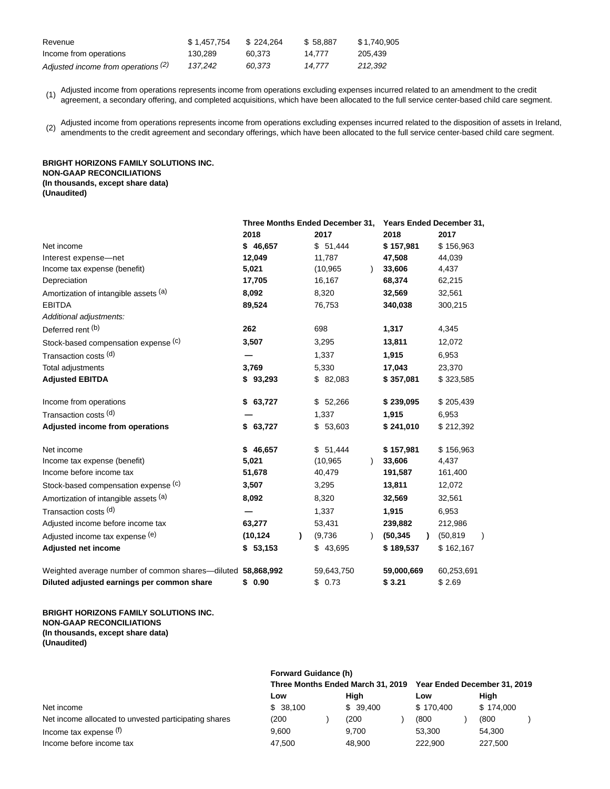| Revenue                             | \$1.457.754 | \$224.264 | \$58.887 | \$1.740.905 |
|-------------------------------------|-------------|-----------|----------|-------------|
| Income from operations              | 130.289     | 60.373    | 14.777   | 205.439     |
| Adjusted income from operations (2) | 137.242     | 60.373    | 14.777   | 212.392     |

Adjusted income from operations represents income from operations excluding expenses incurred related to an amendment to the credit (1)<br>agreement, a secondary offering, and completed acquisitions, which have been allocated

Adjusted income from operations represents income from operations excluding expenses incurred related to the disposition of assets in Ireland,<br>amendments to the credit agreement and secondary offerings, which have been all

# **BRIGHT HORIZONS FAMILY SOLUTIONS INC. NON-GAAP RECONCILIATIONS (In thousands, except share data) (Unaudited)**

|                                                             | Three Months Ended December 31, |  |            | Years Ended December 31, |            |  |            |           |
|-------------------------------------------------------------|---------------------------------|--|------------|--------------------------|------------|--|------------|-----------|
|                                                             | 2018                            |  | 2017       |                          | 2018       |  | 2017       |           |
| Net income                                                  | \$46,657                        |  | \$51,444   |                          | \$157,981  |  | \$156,963  |           |
| Interest expense-net                                        | 12,049                          |  | 11,787     |                          | 47,508     |  | 44,039     |           |
| Income tax expense (benefit)                                | 5,021                           |  | (10, 965)  |                          | 33,606     |  | 4,437      |           |
| Depreciation                                                | 17,705                          |  | 16,167     |                          | 68,374     |  | 62,215     |           |
| Amortization of intangible assets (a)                       | 8,092                           |  | 8,320      |                          | 32,569     |  | 32,561     |           |
| <b>EBITDA</b>                                               | 89,524                          |  | 76,753     |                          | 340,038    |  | 300,215    |           |
| Additional adjustments:                                     |                                 |  |            |                          |            |  |            |           |
| Deferred rent (b)                                           | 262                             |  | 698        |                          | 1,317      |  | 4,345      |           |
| Stock-based compensation expense (c)                        | 3,507                           |  | 3,295      |                          | 13,811     |  | 12,072     |           |
| Transaction costs (d)                                       |                                 |  | 1,337      |                          | 1,915      |  | 6,953      |           |
| Total adjustments                                           | 3,769                           |  | 5,330      |                          | 17,043     |  | 23,370     |           |
| <b>Adjusted EBITDA</b>                                      | \$93,293                        |  | \$82,083   |                          | \$357,081  |  | \$323,585  |           |
| Income from operations                                      | \$63,727                        |  | \$52,266   |                          | \$239,095  |  | \$205,439  |           |
| Transaction costs (d)                                       |                                 |  | 1,337      |                          | 1,915      |  | 6,953      |           |
| <b>Adjusted income from operations</b>                      | \$63,727                        |  | \$53,603   |                          | \$241,010  |  | \$212,392  |           |
| Net income                                                  | \$46,657                        |  | \$51,444   |                          | \$157,981  |  | \$156,963  |           |
| Income tax expense (benefit)                                | 5,021                           |  | (10, 965)  |                          | 33,606     |  | 4,437      |           |
| Income before income tax                                    | 51,678                          |  | 40,479     |                          | 191,587    |  | 161,400    |           |
| Stock-based compensation expense (c)                        | 3,507                           |  | 3,295      |                          | 13,811     |  | 12,072     |           |
| Amortization of intangible assets (a)                       | 8,092                           |  | 8,320      |                          | 32,569     |  | 32,561     |           |
| Transaction costs (d)                                       |                                 |  | 1,337      |                          | 1,915      |  | 6,953      |           |
| Adjusted income before income tax                           | 63,277                          |  | 53,431     |                          | 239,882    |  | 212,986    |           |
| Adjusted income tax expense (e)                             | (10, 124)                       |  | (9,736)    |                          | (50, 345)  |  | (50, 819)  | $\lambda$ |
| Adjusted net income                                         | \$53,153                        |  | \$43,695   |                          | \$189,537  |  | \$162,167  |           |
| Weighted average number of common shares—diluted 58,868,992 |                                 |  | 59,643,750 |                          | 59,000,669 |  | 60,253,691 |           |
| Diluted adjusted earnings per common share                  | \$<br>0.90                      |  | \$0.73     |                          | \$3.21     |  | \$2.69     |           |

**BRIGHT HORIZONS FAMILY SOLUTIONS INC. NON-GAAP RECONCILIATIONS (In thousands, except share data) (Unaudited)**

|                                                       | <b>Forward Guidance (h)</b> |                                   |                              |           |  |  |  |  |  |  |
|-------------------------------------------------------|-----------------------------|-----------------------------------|------------------------------|-----------|--|--|--|--|--|--|
|                                                       |                             | Three Months Ended March 31, 2019 | Year Ended December 31, 2019 |           |  |  |  |  |  |  |
|                                                       | Low                         | Hiah                              | Low                          | Hiah      |  |  |  |  |  |  |
| Net income                                            | \$38.100                    | \$39.400                          | \$170.400                    | \$174,000 |  |  |  |  |  |  |
| Net income allocated to unvested participating shares | (200                        | (200                              | (800                         | (800)     |  |  |  |  |  |  |
| Income tax expense $(f)$                              | 9.600                       | 9.700                             | 53.300                       | 54.300    |  |  |  |  |  |  |
| Income before income tax                              | 47.500                      | 48.900                            | 222,900                      | 227,500   |  |  |  |  |  |  |